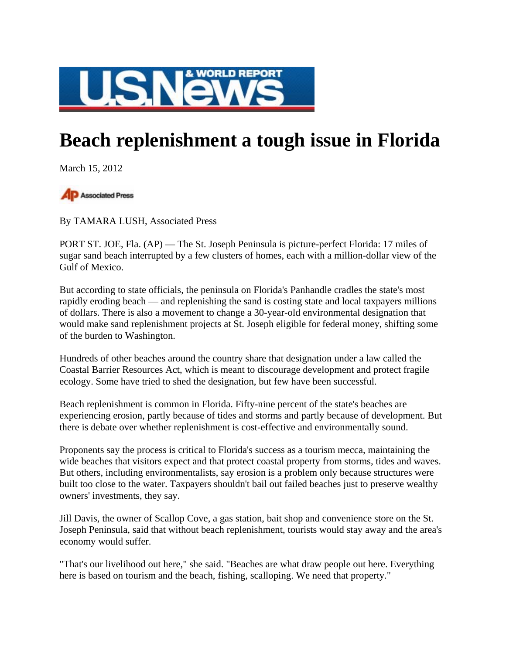

## **Beach replenishment a tough issue in Florida**

March 15, 2012



By TAMARA LUSH, Associated Press

PORT ST. JOE, Fla. (AP) — The St. Joseph Peninsula is picture-perfect Florida: 17 miles of sugar sand beach interrupted by a few clusters of homes, each with a million-dollar view of the Gulf of Mexico.

But according to state officials, the peninsula on Florida's Panhandle cradles the state's most rapidly eroding beach — and replenishing the sand is costing state and local taxpayers millions of dollars. There is also a movement to change a 30-year-old environmental designation that would make sand replenishment projects at St. Joseph eligible for federal money, shifting some of the burden to Washington.

Hundreds of other beaches around the country share that designation under a law called the Coastal Barrier Resources Act, which is meant to discourage development and protect fragile ecology. Some have tried to shed the designation, but few have been successful.

Beach replenishment is common in Florida. Fifty-nine percent of the state's beaches are experiencing erosion, partly because of tides and storms and partly because of development. But there is debate over whether replenishment is cost-effective and environmentally sound.

Proponents say the process is critical to Florida's success as a tourism mecca, maintaining the wide beaches that visitors expect and that protect coastal property from storms, tides and waves. But others, including environmentalists, say erosion is a problem only because structures were built too close to the water. Taxpayers shouldn't bail out failed beaches just to preserve wealthy owners' investments, they say.

Jill Davis, the owner of Scallop Cove, a gas station, bait shop and convenience store on the St. Joseph Peninsula, said that without beach replenishment, tourists would stay away and the area's economy would suffer.

"That's our livelihood out here," she said. "Beaches are what draw people out here. Everything here is based on tourism and the beach, fishing, scalloping. We need that property."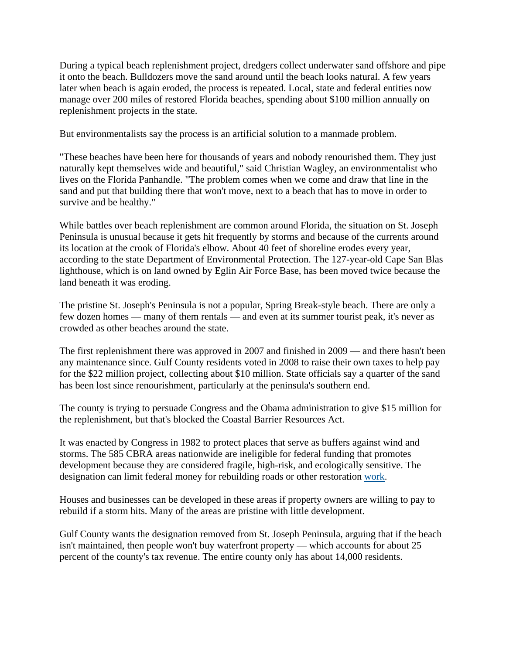During a typical beach replenishment project, dredgers collect underwater sand offshore and pipe it onto the beach. Bulldozers move the sand around until the beach looks natural. A few years later when beach is again eroded, the process is repeated. Local, state and federal entities now manage over 200 miles of restored Florida beaches, spending about \$100 million annually on replenishment projects in the state.

But environmentalists say the process is an artificial solution to a manmade problem.

"These beaches have been here for thousands of years and nobody renourished them. They just naturally kept themselves wide and beautiful," said Christian Wagley, an environmentalist who lives on the Florida Panhandle. "The problem comes when we come and draw that line in the sand and put that building there that won't move, next to a beach that has to move in order to survive and be healthy."

While battles over beach replenishment are common around Florida, the situation on St. Joseph Peninsula is unusual because it gets hit frequently by storms and because of the currents around its location at the crook of Florida's elbow. About 40 feet of shoreline erodes every year, according to the state Department of Environmental Protection. The 127-year-old Cape San Blas lighthouse, which is on land owned by Eglin Air Force Base, has been moved twice because the land beneath it was eroding.

The pristine St. Joseph's Peninsula is not a popular, Spring Break-style beach. There are only a few dozen homes — many of them rentals — and even at its summer tourist peak, it's never as crowded as other beaches around the state.

The first replenishment there was approved in 2007 and finished in 2009 — and there hasn't been any maintenance since. Gulf County residents voted in 2008 to raise their own taxes to help pay for the \$22 million project, collecting about \$10 million. State officials say a quarter of the sand has been lost since renourishment, particularly at the peninsula's southern end.

The county is trying to persuade Congress and the Obama administration to give \$15 million for the replenishment, but that's blocked the Coastal Barrier Resources Act.

It was enacted by Congress in 1982 to protect places that serve as buffers against wind and storms. The 585 CBRA areas nationwide are ineligible for federal funding that promotes development because they are considered fragile, high-risk, and ecologically sensitive. The designation can limit federal money for rebuilding roads or other restoration [work.](http://www.usnews.com/news/us/articles/2012/03/15/beach-replenishment-a-tough-issue-in-florida?page=2)

Houses and businesses can be developed in these areas if property owners are willing to pay to rebuild if a storm hits. Many of the areas are pristine with little development.

Gulf County wants the designation removed from St. Joseph Peninsula, arguing that if the beach isn't maintained, then people won't buy waterfront property — which accounts for about 25 percent of the county's tax revenue. The entire county only has about 14,000 residents.